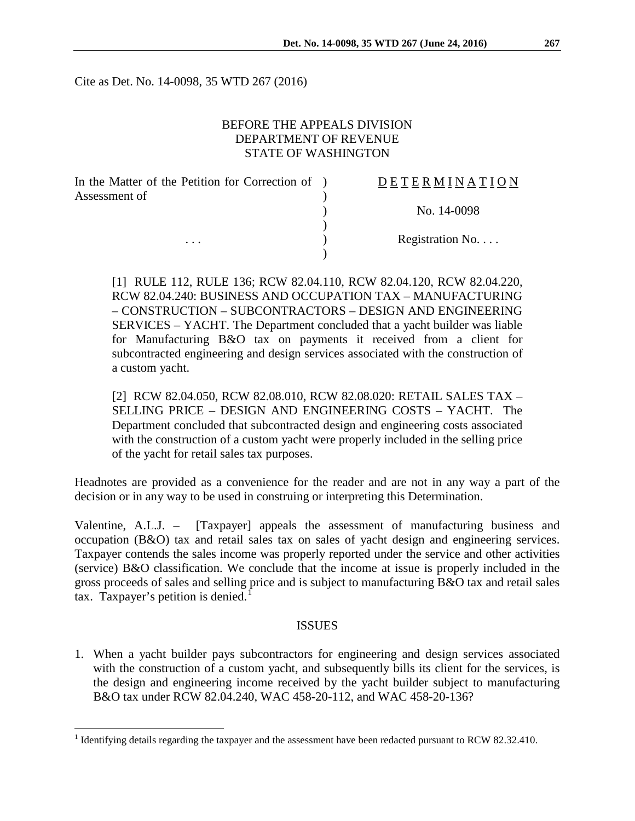Cite as Det. No. 14-0098, 35 WTD 267 (2016)

## BEFORE THE APPEALS DIVISION DEPARTMENT OF REVENUE STATE OF WASHINGTON

| In the Matter of the Petition for Correction of ) | DETERMINATION   |
|---------------------------------------------------|-----------------|
| Assessment of                                     |                 |
|                                                   | No. 14-0098     |
|                                                   |                 |
| $\cdots$                                          | Registration No |
|                                                   |                 |

[1] RULE 112, RULE 136; RCW 82.04.110, RCW 82.04.120, RCW 82.04.220, RCW 82.04.240: BUSINESS AND OCCUPATION TAX – MANUFACTURING – CONSTRUCTION – SUBCONTRACTORS – DESIGN AND ENGINEERING SERVICES – YACHT. The Department concluded that a yacht builder was liable for Manufacturing B&O tax on payments it received from a client for subcontracted engineering and design services associated with the construction of a custom yacht.

[2] RCW 82.04.050, RCW 82.08.010, RCW 82.08.020: RETAIL SALES TAX – SELLING PRICE – DESIGN AND ENGINEERING COSTS – YACHT. The Department concluded that subcontracted design and engineering costs associated with the construction of a custom yacht were properly included in the selling price of the yacht for retail sales tax purposes.

Headnotes are provided as a convenience for the reader and are not in any way a part of the decision or in any way to be used in construing or interpreting this Determination.

Valentine, A.L.J. – [Taxpayer] appeals the assessment of manufacturing business and occupation (B&O) tax and retail sales tax on sales of yacht design and engineering services. Taxpayer contends the sales income was properly reported under the service and other activities (service) B&O classification. We conclude that the income at issue is properly included in the gross proceeds of sales and selling price and is subject to manufacturing B&O tax and retail sales tax. Taxpayer's petition is denied.<sup>[1](#page-0-0)</sup>

#### ISSUES

1. When a yacht builder pays subcontractors for engineering and design services associated with the construction of a custom yacht, and subsequently bills its client for the services, is the design and engineering income received by the yacht builder subject to manufacturing B&O tax under RCW 82.04.240, WAC 458-20-112, and WAC 458-20-136?

<span id="page-0-0"></span><sup>&</sup>lt;sup>1</sup> Identifying details regarding the taxpayer and the assessment have been redacted pursuant to RCW 82.32.410.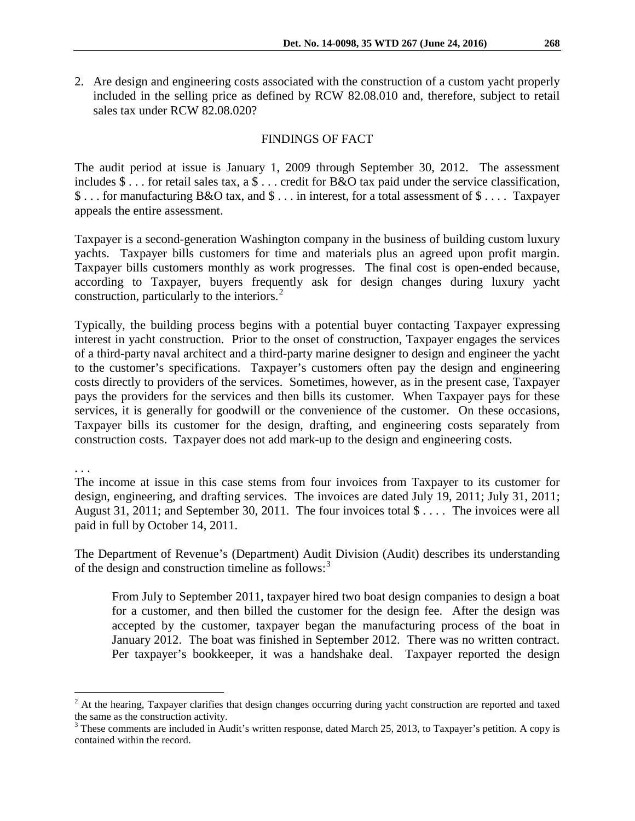2. Are design and engineering costs associated with the construction of a custom yacht properly included in the selling price as defined by RCW 82.08.010 and, therefore, subject to retail sales tax under RCW 82.08.020?

### FINDINGS OF FACT

The audit period at issue is January 1, 2009 through September 30, 2012. The assessment includes \$ . . . for retail sales tax, a \$ . . . credit for B&O tax paid under the service classification, \$ . . . for manufacturing B&O tax, and \$ . . . in interest, for a total assessment of \$ . . . . Taxpayer appeals the entire assessment.

Taxpayer is a second-generation Washington company in the business of building custom luxury yachts. Taxpayer bills customers for time and materials plus an agreed upon profit margin. Taxpayer bills customers monthly as work progresses. The final cost is open-ended because, according to Taxpayer, buyers frequently ask for design changes during luxury yacht construction, particularly to the interiors.<sup>[2](#page-1-0)</sup>

Typically, the building process begins with a potential buyer contacting Taxpayer expressing interest in yacht construction. Prior to the onset of construction, Taxpayer engages the services of a third-party naval architect and a third-party marine designer to design and engineer the yacht to the customer's specifications. Taxpayer's customers often pay the design and engineering costs directly to providers of the services. Sometimes, however, as in the present case, Taxpayer pays the providers for the services and then bills its customer. When Taxpayer pays for these services, it is generally for goodwill or the convenience of the customer. On these occasions, Taxpayer bills its customer for the design, drafting, and engineering costs separately from construction costs. Taxpayer does not add mark-up to the design and engineering costs.

. . .

The income at issue in this case stems from four invoices from Taxpayer to its customer for design, engineering, and drafting services. The invoices are dated July 19, 2011; July 31, 2011; August 31, 2011; and September 30, 2011. The four invoices total \$ . . . . The invoices were all paid in full by October 14, 2011.

The Department of Revenue's (Department) Audit Division (Audit) describes its understanding of the design and construction timeline as follows:<sup>[3](#page-1-1)</sup>

From July to September 2011, taxpayer hired two boat design companies to design a boat for a customer, and then billed the customer for the design fee. After the design was accepted by the customer, taxpayer began the manufacturing process of the boat in January 2012. The boat was finished in September 2012. There was no written contract. Per taxpayer's bookkeeper, it was a handshake deal. Taxpayer reported the design

<span id="page-1-0"></span><sup>&</sup>lt;sup>2</sup> At the hearing, Taxpayer clarifies that design changes occurring during yacht construction are reported and taxed the same as the construction activity.<br><sup>3</sup> These comments are included in Audit's written response, dated March 25, 2013, to Taxpayer's petition. A copy is

<span id="page-1-1"></span>contained within the record.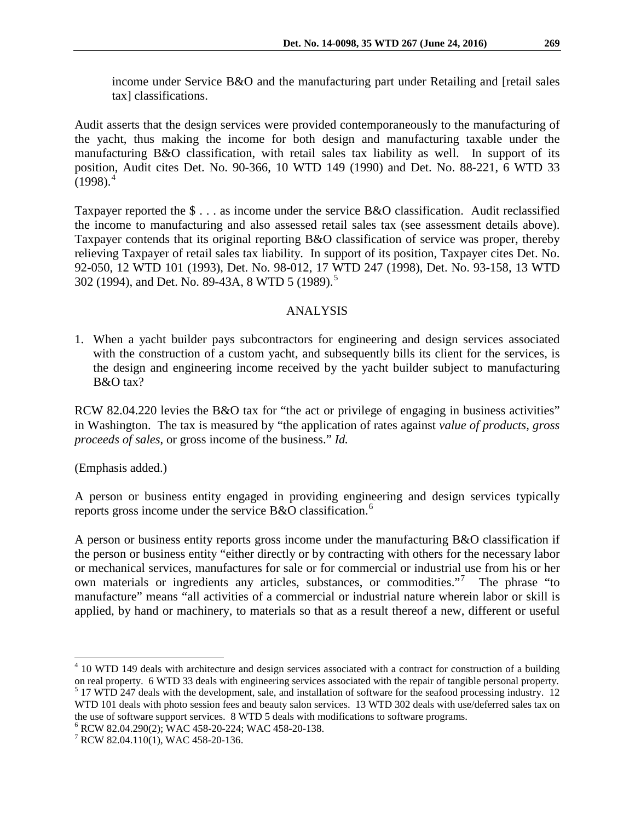income under Service B&O and the manufacturing part under Retailing and [retail sales tax] classifications.

Audit asserts that the design services were provided contemporaneously to the manufacturing of the yacht, thus making the income for both design and manufacturing taxable under the manufacturing B&O classification, with retail sales tax liability as well. In support of its position, Audit cites Det. No. 90-366, 10 WTD 149 (1990) and Det. No. 88-221, 6 WTD 33  $(1998)^4$  $(1998)^4$ 

Taxpayer reported the \$ . . . as income under the service B&O classification. Audit reclassified the income to manufacturing and also assessed retail sales tax (see assessment details above). Taxpayer contends that its original reporting B&O classification of service was proper, thereby relieving Taxpayer of retail sales tax liability. In support of its position, Taxpayer cites Det. No. 92-050, 12 WTD 101 (1993), Det. No. 98-012, 17 WTD 247 (1998), Det. No. 93-158, 13 WTD 302 (1994), and Det. No. 89-43A, 8 WTD [5](#page-2-1) (1989).<sup>5</sup>

# ANALYSIS

1. When a yacht builder pays subcontractors for engineering and design services associated with the construction of a custom yacht, and subsequently bills its client for the services, is the design and engineering income received by the yacht builder subject to manufacturing B&O tax?

RCW 82.04.220 levies the B&O tax for "the act or privilege of engaging in business activities" in Washington. The tax is measured by "the application of rates against *value of products, gross proceeds of sales*, or gross income of the business." *Id.*

(Emphasis added.)

A person or business entity engaged in providing engineering and design services typically reports gross income under the service  $B&O$  classification.<sup>[6](#page-2-2)</sup>

A person or business entity reports gross income under the manufacturing B&O classification if the person or business entity "either directly or by contracting with others for the necessary labor or mechanical services, manufactures for sale or for commercial or industrial use from his or her own materials or ingredients any articles, substances, or commodities."<sup>[7](#page-2-3)</sup> The phrase "to manufacture" means "all activities of a commercial or industrial nature wherein labor or skill is applied, by hand or machinery, to materials so that as a result thereof a new, different or useful

<span id="page-2-0"></span> $4$  10 WTD 149 deals with architecture and design services associated with a contract for construction of a building on real property. 6 WTD 33 deals with engineering services associated with the repair of tangible personal property.

<span id="page-2-1"></span> $5$  17 WTD 247 deals with the development, sale, and installation of software for the seafood processing industry. 12 WTD 101 deals with photo session fees and beauty salon services. 13 WTD 302 deals with use/deferred sales tax on the use of software support services. 8 WTD 5 deals with modifications to software programs.

<span id="page-2-2"></span><sup>&</sup>lt;sup>6</sup> RCW 82.04.290(2); WAC 458-20-224; WAC 458-20-138.<br><sup>7</sup> RCW 82.04.110(1), WAC 458-20-136.

<span id="page-2-3"></span>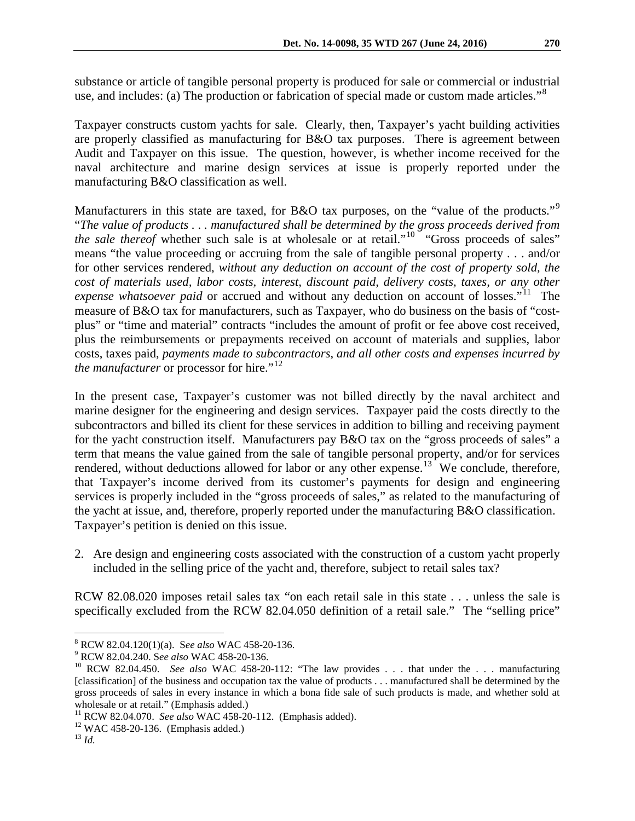substance or article of tangible personal property is produced for sale or commercial or industrial use, and includes: (a) The production or fabrication of special made or custom made articles."<sup>[8](#page-3-0)</sup>

Taxpayer constructs custom yachts for sale. Clearly, then, Taxpayer's yacht building activities are properly classified as manufacturing for B&O tax purposes. There is agreement between Audit and Taxpayer on this issue. The question, however, is whether income received for the naval architecture and marine design services at issue is properly reported under the manufacturing B&O classification as well.

Manufacturers in this state are taxed, for B&O tax purposes, on the "value of the products."<sup>[9](#page-3-1)</sup> "*The value of products . . . manufactured shall be determined by the gross proceeds derived from the sale thereof* whether such sale is at wholesale or at retail."<sup>[10](#page-3-2)</sup> "Gross proceeds of sales" means "the value proceeding or accruing from the sale of tangible personal property . . . and/or for other services rendered, *without any deduction on account of the cost of property sold, the cost of materials used, labor costs, interest, discount paid, delivery costs, taxes, or any other expense whatsoever paid* or accrued and without any deduction on account of losses."<sup>[11](#page-3-3)</sup> The measure of B&O tax for manufacturers, such as Taxpayer, who do business on the basis of "costplus" or "time and material" contracts "includes the amount of profit or fee above cost received, plus the reimbursements or prepayments received on account of materials and supplies, labor costs, taxes paid, *payments made to subcontractors*, *and all other costs and expenses incurred by the manufacturer* or processor for hire."<sup>[12](#page-3-4)</sup>

In the present case, Taxpayer's customer was not billed directly by the naval architect and marine designer for the engineering and design services. Taxpayer paid the costs directly to the subcontractors and billed its client for these services in addition to billing and receiving payment for the yacht construction itself. Manufacturers pay B&O tax on the "gross proceeds of sales" a term that means the value gained from the sale of tangible personal property, and/or for services rendered, without deductions allowed for labor or any other expense.<sup>13</sup> We conclude, therefore, that Taxpayer's income derived from its customer's payments for design and engineering services is properly included in the "gross proceeds of sales," as related to the manufacturing of the yacht at issue, and, therefore, properly reported under the manufacturing B&O classification. Taxpayer's petition is denied on this issue.

2. Are design and engineering costs associated with the construction of a custom yacht properly included in the selling price of the yacht and, therefore, subject to retail sales tax?

RCW 82.08.020 imposes retail sales tax "on each retail sale in this state . . . unless the sale is specifically excluded from the RCW 82.04.050 definition of a retail sale." The "selling price"

<span id="page-3-2"></span>

<span id="page-3-1"></span><span id="page-3-0"></span><sup>&</sup>lt;sup>8</sup> RCW 82.04.120(1)(a). See also WAC 458-20-136.<br><sup>9</sup> RCW 82.04.240. See also WAC 458-20-136.<br><sup>10</sup> RCW 82.04.450. *See also* WAC 458-20-112: "The law provides . . . that under the . . . manufacturing [classification] of the business and occupation tax the value of products . . . manufactured shall be determined by the gross proceeds of sales in every instance in which a bona fide sale of such products is made, and whether sold at wholesale or at retail." (Emphasis added.)

<span id="page-3-4"></span><span id="page-3-3"></span><sup>&</sup>lt;sup>11</sup> RCW 82.04.070. *See also* WAC 458-20-112. (Emphasis added).<br><sup>12</sup> WAC 458-20-136. (Emphasis added.)<br><sup>13</sup> *Id.* 

<span id="page-3-5"></span>